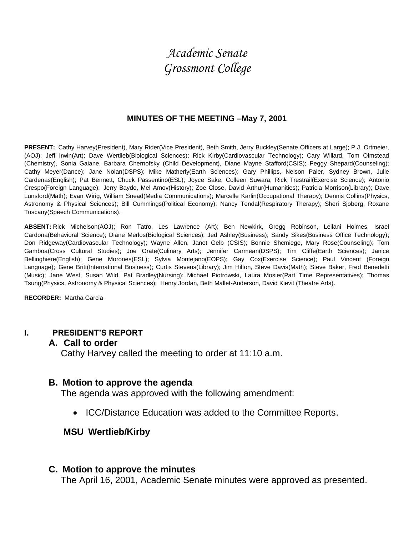# *Academic Senate Grossmont College*

#### **MINUTES OF THE MEETING –May 7, 2001**

**PRESENT:** Cathy Harvey(President), Mary Rider(Vice President), Beth Smith, Jerry Buckley(Senate Officers at Large); P.J. Ortmeier, (AOJ); Jeff Irwin(Art); Dave Wertlieb(Biological Sciences); Rick Kirby(Cardiovascular Technology); Cary Willard, Tom Olmstead (Chemistry), Sonia Gaiane, Barbara Chernofsky (Child Development), Diane Mayne Stafford(CSIS); Peggy Shepard(Counseling); Cathy Meyer(Dance); Jane Nolan(DSPS); Mike Matherly(Earth Sciences); Gary Phillips, Nelson Paler, Sydney Brown, Julie Cardenas(English); Pat Bennett, Chuck Passentino(ESL); Joyce Sake, Colleen Suwara, Rick Trestrail(Exercise Science); Antonio Crespo(Foreign Language); Jerry Baydo, Mel Amov(History); Zoe Close, David Arthur(Humanities); Patricia Morrison(Library); Dave Lunsford(Math); Evan Wirig, William Snead(Media Communications); Marcelle Karlin(Occupational Therapy); Dennis Collins(Physics, Astronomy & Physical Sciences); Bill Cummings(Political Economy); Nancy Tendal(Respiratory Therapy); Sheri Sjoberg, Roxane Tuscany(Speech Communications).

**ABSENT:** Rick Michelson(AOJ); Ron Tatro, Les Lawrence (Art); Ben Newkirk, Gregg Robinson, Leilani Holmes, Israel Cardona(Behavioral Science); Diane Merlos(Biological Sciences); Jed Ashley(Business); Sandy Sikes(Business Office Technology); Don Ridgeway(Cardiovascular Technology); Wayne Allen, Janet Gelb (CSIS); Bonnie Shcmiege, Mary Rose(Counseling); Tom Gamboa(Cross Cultural Studies); Joe Orate(Culinary Arts); Jennifer Carmean(DSPS); Tim Cliffe(Earth Sciences); Janice Bellinghiere(English); Gene Morones(ESL); Sylvia Montejano(EOPS); Gay Cox(Exercise Science); Paul Vincent (Foreign Language); Gene Britt(International Business); Curtis Stevens(Library); Jim Hilton, Steve Davis(Math); Steve Baker, Fred Benedetti (Music); Jane West, Susan Wild, Pat Bradley(Nursing); Michael Piotrowski, Laura Mosier(Part Time Representatives); Thomas Tsung(Physics, Astronomy & Physical Sciences); Henry Jordan, Beth Mallet-Anderson, David Kievit (Theatre Arts).

**RECORDER:** Martha Garcia

#### **I. PRESIDENT'S REPORT**

#### **A. Call to order**

Cathy Harvey called the meeting to order at 11:10 a.m.

#### **B. Motion to approve the agenda**

The agenda was approved with the following amendment:

• ICC/Distance Education was added to the Committee Reports.

#### **MSU Wertlieb/Kirby**

#### **C. Motion to approve the minutes**

The April 16, 2001, Academic Senate minutes were approved as presented.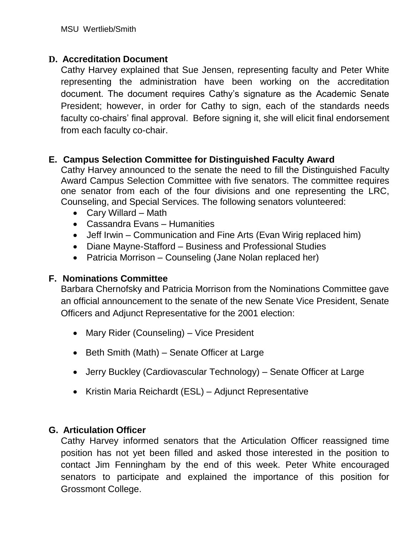### **D. Accreditation Document**

Cathy Harvey explained that Sue Jensen, representing faculty and Peter White representing the administration have been working on the accreditation document. The document requires Cathy's signature as the Academic Senate President; however, in order for Cathy to sign, each of the standards needs faculty co-chairs' final approval. Before signing it, she will elicit final endorsement from each faculty co-chair.

### **E. Campus Selection Committee for Distinguished Faculty Award**

Cathy Harvey announced to the senate the need to fill the Distinguished Faculty Award Campus Selection Committee with five senators. The committee requires one senator from each of the four divisions and one representing the LRC, Counseling, and Special Services. The following senators volunteered:

- Cary Willard Math
- Cassandra Evans Humanities
- Jeff Irwin Communication and Fine Arts (Evan Wirig replaced him)
- Diane Mayne-Stafford Business and Professional Studies
- Patricia Morrison Counseling (Jane Nolan replaced her)

### **F. Nominations Committee**

Barbara Chernofsky and Patricia Morrison from the Nominations Committee gave an official announcement to the senate of the new Senate Vice President, Senate Officers and Adjunct Representative for the 2001 election:

- Mary Rider (Counseling) Vice President
- Beth Smith (Math) Senate Officer at Large
- Jerry Buckley (Cardiovascular Technology) Senate Officer at Large
- Kristin Maria Reichardt (ESL) Adjunct Representative

### **G. Articulation Officer**

Cathy Harvey informed senators that the Articulation Officer reassigned time position has not yet been filled and asked those interested in the position to contact Jim Fenningham by the end of this week. Peter White encouraged senators to participate and explained the importance of this position for Grossmont College.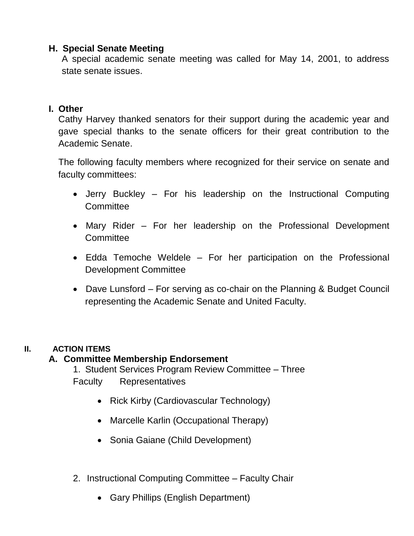#### **H. Special Senate Meeting**

A special academic senate meeting was called for May 14, 2001, to address state senate issues.

### **I. Other**

Cathy Harvey thanked senators for their support during the academic year and gave special thanks to the senate officers for their great contribution to the Academic Senate.

The following faculty members where recognized for their service on senate and faculty committees:

- Jerry Buckley For his leadership on the Instructional Computing **Committee**
- Mary Rider For her leadership on the Professional Development **Committee**
- Edda Temoche Weldele For her participation on the Professional Development Committee
- Dave Lunsford For serving as co-chair on the Planning & Budget Council representing the Academic Senate and United Faculty.

### **II. ACTION ITEMS**

### **A. Committee Membership Endorsement**

1. Student Services Program Review Committee – Three

Faculty Representatives

- Rick Kirby (Cardiovascular Technology)
- Marcelle Karlin (Occupational Therapy)
- Sonia Gaiane (Child Development)
- 2. Instructional Computing Committee Faculty Chair
	- Gary Phillips (English Department)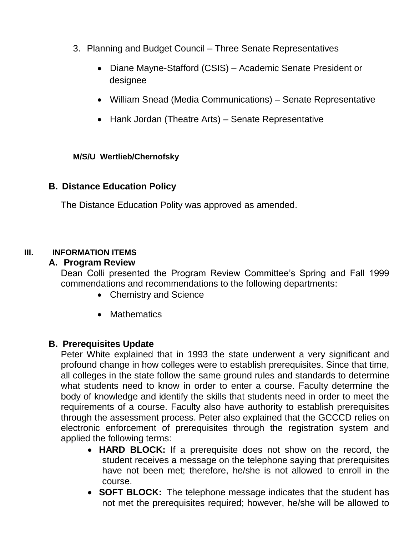- 3. Planning and Budget Council Three Senate Representatives
	- Diane Mayne-Stafford (CSIS) Academic Senate President or designee
	- William Snead (Media Communications) Senate Representative
	- Hank Jordan (Theatre Arts) Senate Representative

#### **M/S/U Wertlieb/Chernofsky**

#### **B. Distance Education Policy**

The Distance Education Polity was approved as amended.

#### **III. INFORMATION ITEMS**

#### **A. Program Review**

Dean Colli presented the Program Review Committee's Spring and Fall 1999 commendations and recommendations to the following departments:

- Chemistry and Science
- Mathematics

#### **B. Prerequisites Update**

Peter White explained that in 1993 the state underwent a very significant and profound change in how colleges were to establish prerequisites. Since that time, all colleges in the state follow the same ground rules and standards to determine what students need to know in order to enter a course. Faculty determine the body of knowledge and identify the skills that students need in order to meet the requirements of a course. Faculty also have authority to establish prerequisites through the assessment process. Peter also explained that the GCCCD relies on electronic enforcement of prerequisites through the registration system and applied the following terms:

- **HARD BLOCK:** If a prerequisite does not show on the record, the student receives a message on the telephone saying that prerequisites have not been met; therefore, he/she is not allowed to enroll in the course.
- **SOFT BLOCK:** The telephone message indicates that the student has not met the prerequisites required; however, he/she will be allowed to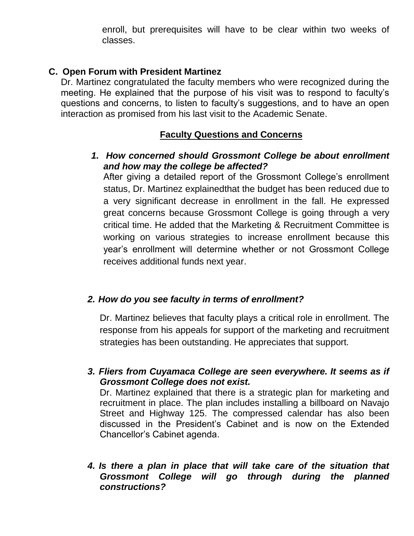enroll, but prerequisites will have to be clear within two weeks of classes.

### **C. Open Forum with President Martinez**

Dr. Martinez congratulated the faculty members who were recognized during the meeting. He explained that the purpose of his visit was to respond to faculty's questions and concerns, to listen to faculty's suggestions, and to have an open interaction as promised from his last visit to the Academic Senate.

# **Faculty Questions and Concerns**

### *1. How concerned should Grossmont College be about enrollment and how may the college be affected?*

After giving a detailed report of the Grossmont College's enrollment status, Dr. Martinez explainedthat the budget has been reduced due to a very significant decrease in enrollment in the fall. He expressed great concerns because Grossmont College is going through a very critical time. He added that the Marketing & Recruitment Committee is working on various strategies to increase enrollment because this year's enrollment will determine whether or not Grossmont College receives additional funds next year.

## *2. How do you see faculty in terms of enrollment?*

Dr. Martinez believes that faculty plays a critical role in enrollment. The response from his appeals for support of the marketing and recruitment strategies has been outstanding. He appreciates that support.

*3. Fliers from Cuyamaca College are seen everywhere. It seems as if Grossmont College does not exist.*

Dr. Martinez explained that there is a strategic plan for marketing and recruitment in place. The plan includes installing a billboard on Navajo Street and Highway 125. The compressed calendar has also been discussed in the President's Cabinet and is now on the Extended Chancellor's Cabinet agenda.

### *4. Is there a plan in place that will take care of the situation that Grossmont College will go through during the planned constructions?*